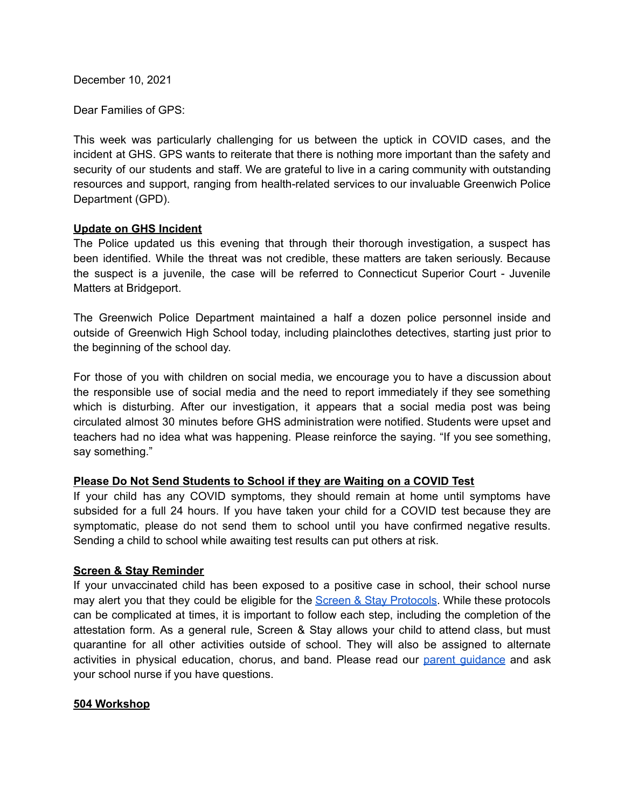December 10, 2021

Dear Families of GPS:

This week was particularly challenging for us between the uptick in COVID cases, and the incident at GHS. GPS wants to reiterate that there is nothing more important than the safety and security of our students and staff. We are grateful to live in a caring community with outstanding resources and support, ranging from health-related services to our invaluable Greenwich Police Department (GPD).

#### **Update on GHS Incident**

The Police updated us this evening that through their thorough investigation, a suspect has been identified. While the threat was not credible, these matters are taken seriously. Because the suspect is a juvenile, the case will be referred to Connecticut Superior Court - Juvenile Matters at Bridgeport.

The Greenwich Police Department maintained a half a dozen police personnel inside and outside of Greenwich High School today, including plainclothes detectives, starting just prior to the beginning of the school day.

For those of you with children on social media, we encourage you to have a discussion about the responsible use of social media and the need to report immediately if they see something which is disturbing. After our investigation, it appears that a social media post was being circulated almost 30 minutes before GHS administration were notified. Students were upset and teachers had no idea what was happening. Please reinforce the saying. "If you see something, say something."

## **Please Do Not Send Students to School if they are Waiting on a COVID Test**

If your child has any COVID symptoms, they should remain at home until symptoms have subsided for a full 24 hours. If you have taken your child for a COVID test because they are symptomatic, please do not send them to school until you have confirmed negative results. Sending a child to school while awaiting test results can put others at risk.

## **Screen & Stay Reminder**

If your unvaccinated child has been exposed to a positive case in school, their school nurse may alert you that they could be eligible for the Screen & Stay [Protocols](https://resources.finalsite.net/images/v1636734538/greenwich/cs3lajdtzjqoczumouvz/GreenwichPublicSchool-ScreenStay-parent.pdf). While these protocols can be complicated at times, it is important to follow each step, including the completion of the attestation form. As a general rule, Screen & Stay allows your child to attend class, but must quarantine for all other activities outside of school. They will also be assigned to alternate activities in physical education, chorus, and band. Please read our parent [guidance](https://resources.finalsite.net/images/v1636734538/greenwich/cs3lajdtzjqoczumouvz/GreenwichPublicSchool-ScreenStay-parent.pdf) and ask your school nurse if you have questions.

#### **504 Workshop**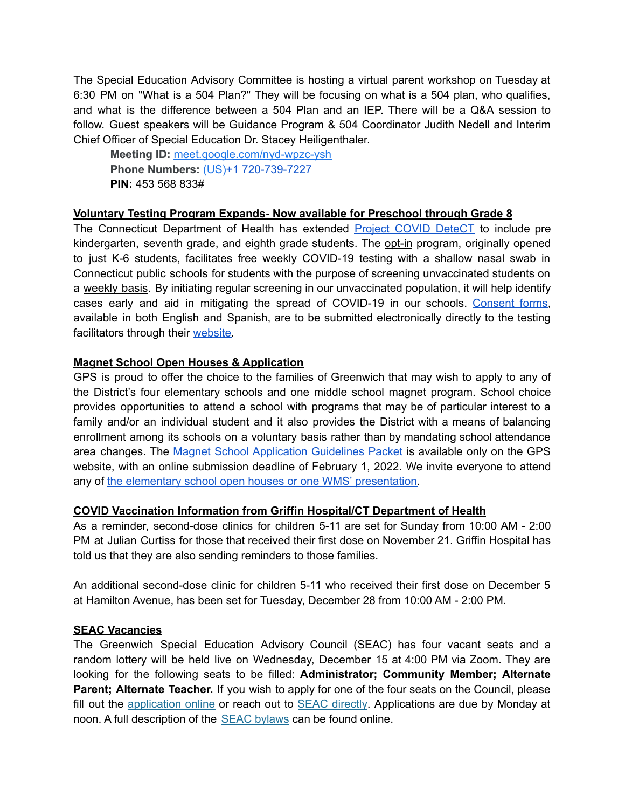The Special Education Advisory Committee is hosting a virtual parent workshop on Tuesday at 6:30 PM on "What is a 504 Plan?" They will be focusing on what is a 504 plan, who qualifies, and what is the difference between a 504 Plan and an IEP. There will be a Q&A session to follow. Guest speakers will be Guidance Program & 504 Coordinator Judith Nedell and Interim Chief Officer of Special Education Dr. Stacey Heiligenthaler.

**Meeting ID:** [meet.google.com/nyd-wpzc-ysh](https://meet.google.com/nyd-wpzc-ysh?hs=122&authuser=0) **Phone Numbers:** (US)+1 720-739-7227 **PIN:** 453 568 833#

# **Voluntary Testing Program Expands- Now available for Preschool through Grade 8**

The Connecticut Department of Health has extended **Project COVID [DeteCT](https://portal.ct.gov/Coronavirus/project-covid-detect)** to include pre kindergarten, seventh grade, and eighth grade students. The opt-in program, originally opened to just K-6 students, facilitates free weekly COVID-19 testing with a shallow nasal swab in Connecticut public schools for students with the purpose of screening unvaccinated students on a weekly basis. By initiating regular screening in our unvaccinated population, it will help identify cases early and aid in mitigating the spread of COVID-19 in our schools. [Consent](https://progressive-diagnostics.com/school-testing/consent-form/) forms, available in both English and Spanish, are to be submitted electronically directly to the testing facilitators through their [website.](https://progressive-diagnostics.com/school-testing/consent-form/)

## **Magnet School Open Houses & Application**

GPS is proud to offer the choice to the families of Greenwich that may wish to apply to any of the District's four elementary schools and one middle school magnet program. School choice provides opportunities to attend a school with programs that may be of particular interest to a family and/or an individual student and it also provides the District with a means of balancing enrollment among its schools on a voluntary basis rather than by mandating school attendance area changes. The Magnet School [Application](https://www.greenwichschools.org/teaching-learning/magnet-schools) Guidelines Packet is available only on the GPS website, with an online submission deadline of February 1, 2022. We invite everyone to attend any of the elementary school open houses or one WMS' [presentation.](https://resources.finalsite.net/images/v1638550093/greenwich/j48fuf0mddbfy1ioglul/MagnetSchoolOpenHouseandVisits2022.pdf)

## **COVID Vaccination Information from Griffin Hospital/CT Department of Health**

As a reminder, second-dose clinics for children 5-11 are set for Sunday from 10:00 AM - 2:00 PM at Julian Curtiss for those that received their first dose on November 21. Griffin Hospital has told us that they are also sending reminders to those families.

An additional second-dose clinic for children 5-11 who received their first dose on December 5 at Hamilton Avenue, has been set for Tuesday, December 28 from 10:00 AM - 2:00 PM.

## **SEAC Vacancies**

The Greenwich Special Education Advisory Council (SEAC) has four vacant seats and a random lottery will be held live on Wednesday, December 15 at 4:00 PM via Zoom. They are looking for the following seats to be filled: **Administrator; Community Member; Alternate Parent; Alternate Teacher.** If you wish to apply for one of the four seats on the Council, please fill out the [application](https://docs.google.com/forms/d/e/1FAIpQLScXz_Hp--lOaOjpDkKWdzdj6kWgiWSPbHwBMNlnDZkKE5wyfA/viewform?usp=sf_link) online or reach out to **SEAC [directly](mailto:greenwichseac@gmail.com)**. Applications are due by Monday at noon. A full description of the SEAC [bylaws](https://resources.finalsite.net/images/v1621264012/greenwich/i0yasr661jap6dbr6zl0/GPSSEACBylawsFinal_1.pdf) can be found online.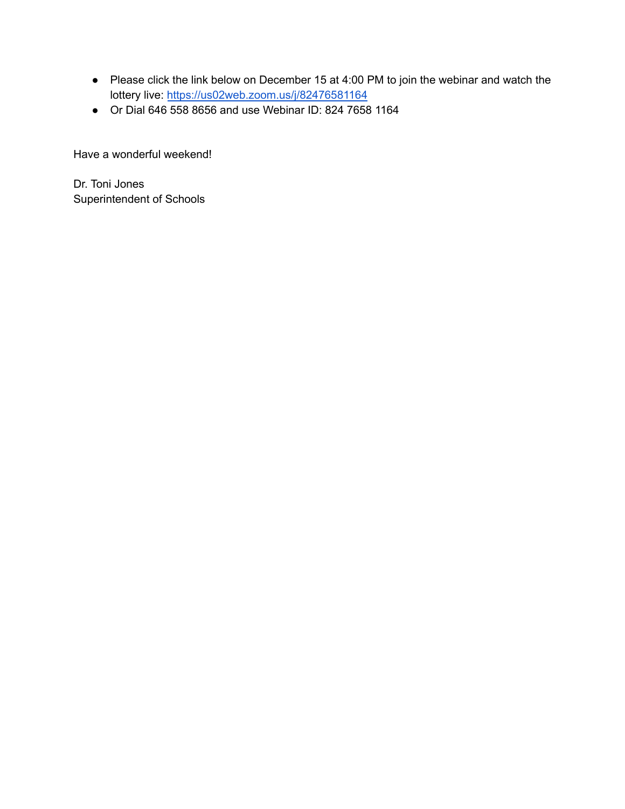- Please click the link below on December 15 at 4:00 PM to join the webinar and watch the lottery live: <https://us02web.zoom.us/j/82476581164>
- Or Dial 646 558 8656 and use Webinar ID: 824 7658 1164

Have a wonderful weekend!

Dr. Toni Jones Superintendent of Schools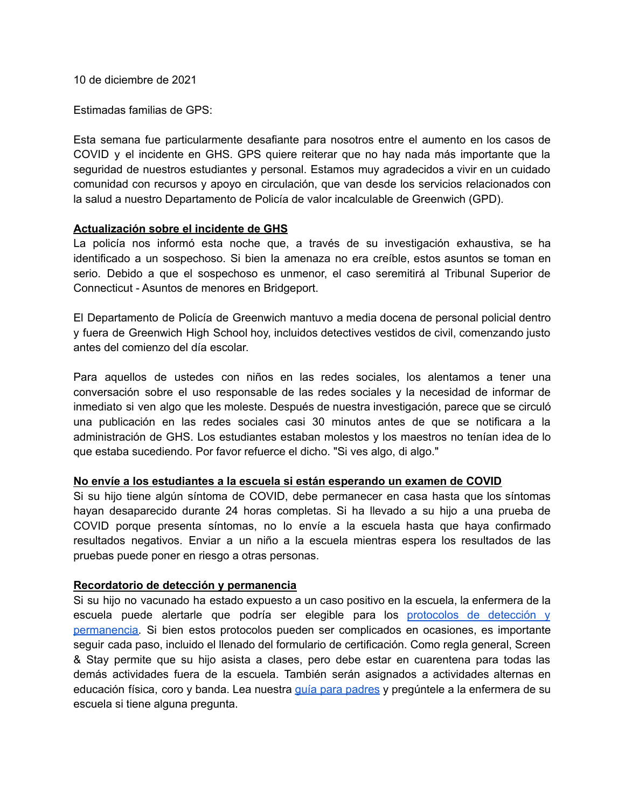10 de diciembre de 2021

Estimadas familias de GPS:

Esta semana fue particularmente desafiante para nosotros entre el aumento en los casos de COVID y el incidente en GHS. GPS quiere reiterar que no hay nada más importante que la seguridad de nuestros estudiantes y personal. Estamos muy agradecidos a vivir en un cuidado comunidad con recursos y apoyo en circulación, que van desde los servicios relacionados con la salud a nuestro Departamento de Policía de valor incalculable de Greenwich (GPD).

#### **Actualización sobre el incidente de GHS**

La policía nos informó esta noche que, a través de su investigación exhaustiva, se ha identificado a un sospechoso. Si bien la amenaza no era creíble, estos asuntos se toman en serio. Debido a que el sospechoso es unmenor, el caso seremitirá al Tribunal Superior de Connecticut - Asuntos de menores en Bridgeport.

El Departamento de Policía de Greenwich mantuvo a media docena de personal policial dentro y fuera de Greenwich High School hoy, incluidos detectives vestidos de civil, comenzando justo antes del comienzo del día escolar.

Para aquellos de ustedes con niños en las redes sociales, los alentamos a tener una conversación sobre el uso responsable de las redes sociales y la necesidad de informar de inmediato si ven algo que les moleste. Después de nuestra investigación, parece que se circuló una publicación en las redes sociales casi 30 minutos antes de que se notificara a la administración de GHS. Los estudiantes estaban molestos y los maestros no tenían idea de lo que estaba sucediendo. Por favor refuerce el dicho. "Si ves algo, di algo."

## **No envíe a los estudiantes a la escuela si están esperando un examen de COVID**

Si su hijo tiene algún síntoma de COVID, debe permanecer en casa hasta que los síntomas hayan desaparecido durante 24 horas completas. Si ha llevado a su hijo a una prueba de COVID porque presenta síntomas, no lo envíe a la escuela hasta que haya confirmado resultados negativos. Enviar a un niño a la escuela mientras espera los resultados de las pruebas puede poner en riesgo a otras personas.

## **Recordatorio de detección y permanencia**

Si su hijo no vacunado ha estado expuesto a un caso positivo en la escuela, la enfermera de la escuela puede alertarle que podría ser elegible para los [protocolos](https://resources.finalsite.net/images/v1636734538/greenwich/cs3lajdtzjqoczumouvz/GreenwichPublicSchool-ScreenStay-parent.pdf) de detección y [permanencia.](https://resources.finalsite.net/images/v1636734538/greenwich/cs3lajdtzjqoczumouvz/GreenwichPublicSchool-ScreenStay-parent.pdf) Si bien estos protocolos pueden ser complicados en ocasiones, es importante seguir cada paso, incluido el llenado del formulario de certificación. Como regla general, Screen & Stay permite que su hijo asista a clases, pero debe estar en cuarentena para todas las demás actividades fuera de la escuela. También serán asignados a actividades alternas en educación física, coro y banda. Lea nuestra guía para [padres](https://resources.finalsite.net/images/v1636734538/greenwich/cs3lajdtzjqoczumouvz/GreenwichPublicSchool-ScreenStay-parent.pdf) y pregúntele a la enfermera de su escuela si tiene alguna pregunta.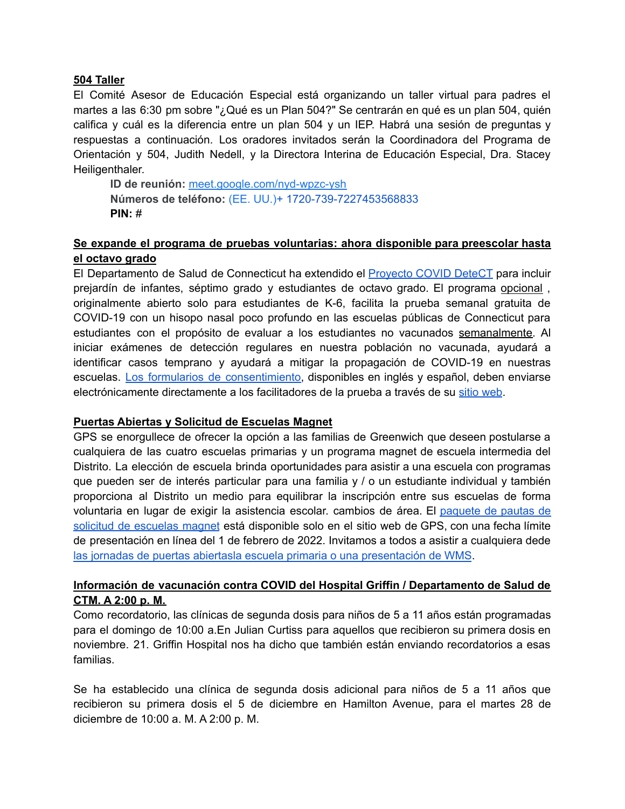#### **504 Taller**

El Comité Asesor de Educación Especial está organizando un taller virtual para padres el martes a las 6:30 pm sobre "¿Qué es un Plan 504?" Se centrarán en qué es un plan 504, quién califica y cuál es la diferencia entre un plan 504 y un IEP. Habrá una sesión de preguntas y respuestas a continuación. Los oradores invitados serán la Coordinadora del Programa de Orientación y 504, Judith Nedell, y la Directora Interina de Educación Especial, Dra. Stacey Heiligenthaler.

**ID de reunión:** [meet.google.com/nyd-wpzc-ysh](https://meet.google.com/nyd-wpzc-ysh?hs=122&authuser=0) **Números de teléfono:** (EE. UU.)+ 1720-739-7227453568833 **PIN:** #

## **Se expande el programa de pruebas voluntarias: ahora disponible para preescolar hasta el octavo grado**

El Departamento de Salud de Connecticut ha extendido el [Proyecto](https://portal.ct.gov/Coronavirus/project-covid-detect) COVID DeteCT para incluir prejardín de infantes, séptimo grado y estudiantes de octavo grado. El programa opcional , originalmente abierto solo para estudiantes de K-6, facilita la prueba semanal gratuita de COVID-19 con un hisopo nasal poco profundo en las escuelas públicas de Connecticut para estudiantes con el propósito de evaluar a los estudiantes no vacunados semanalmente. Al iniciar exámenes de detección regulares en nuestra población no vacunada, ayudará a identificar casos temprano y ayudará a mitigar la propagación de COVID-19 en nuestras escuelas. Los formularios de [consentimiento,](https://progressive-diagnostics.com/school-testing/consent-form/) disponibles en inglés y español, deben enviarse electrónicamente directamente a los facilitadores de la prueba a través de su sitio [web](https://progressive-diagnostics.com/school-testing/consent-form/).

#### **Puertas Abiertas y Solicitud de Escuelas Magnet**

GPS se enorgullece de ofrecer la opción a las familias de Greenwich que deseen postularse a cualquiera de las cuatro escuelas primarias y un programa magnet de escuela intermedia del Distrito. La elección de escuela brinda oportunidades para asistir a una escuela con programas que pueden ser de interés particular para una familia y / o un estudiante individual y también proporciona al Distrito un medio para equilibrar la inscripción entre sus escuelas de forma voluntaria en lugar de exigir la asistencia escolar. cambios de área. El [paquete](https://www.greenwichschools.org/teaching-learning/magnet-schools) de pautas de solicitud de [escuelas](https://www.greenwichschools.org/teaching-learning/magnet-schools) magnet está disponible solo en el sitio web de GPS, con una fecha límite de presentación en línea del 1 de febrero de 2022. Invitamos a todos a asistir a cualquiera dede las jornadas de puertas abiertasla escuela primaria o una [presentación](https://resources.finalsite.net/images/v1638550093/greenwich/j48fuf0mddbfy1ioglul/MagnetSchoolOpenHouseandVisits2022.pdf) de WMS.

# **Información de vacunación contra COVID del Hospital Griffin / Departamento de Salud de CTM. A 2:00 p. M.**

Como recordatorio, las clínicas de segunda dosis para niños de 5 a 11 años están programadas para el domingo de 10:00 a.En Julian Curtiss para aquellos que recibieron su primera dosis en noviembre. 21. Griffin Hospital nos ha dicho que también están enviando recordatorios a esas familias.

Se ha establecido una clínica de segunda dosis adicional para niños de 5 a 11 años que recibieron su primera dosis el 5 de diciembre en Hamilton Avenue, para el martes 28 de diciembre de 10:00 a. M. A 2:00 p. M.